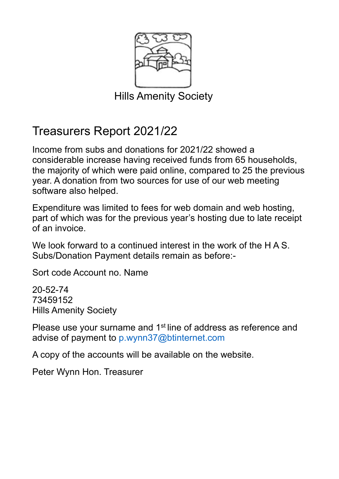

Hills Amenity Society

## Treasurers Report 2021/22

Income from subs and donations for 2021/22 showed a considerable increase having received funds from 65 households, the majority of which were paid online, compared to 25 the previous year. A donation from two sources for use of our web meeting software also helped.

Expenditure was limited to fees for web domain and web hosting, part of which was for the previous year's hosting due to late receipt of an invoice.

We look forward to a continued interest in the work of the H A S. Subs/Donation Payment details remain as before:-

Sort code Account no. Name

20-52-74 73459152 Hills Amenity Society

Please use your surname and 1<sup>st</sup> line of address as reference and advise of payment to p.wynn37@btinternet.com

A copy of the accounts will be available on the website.

Peter Wynn Hon. Treasurer